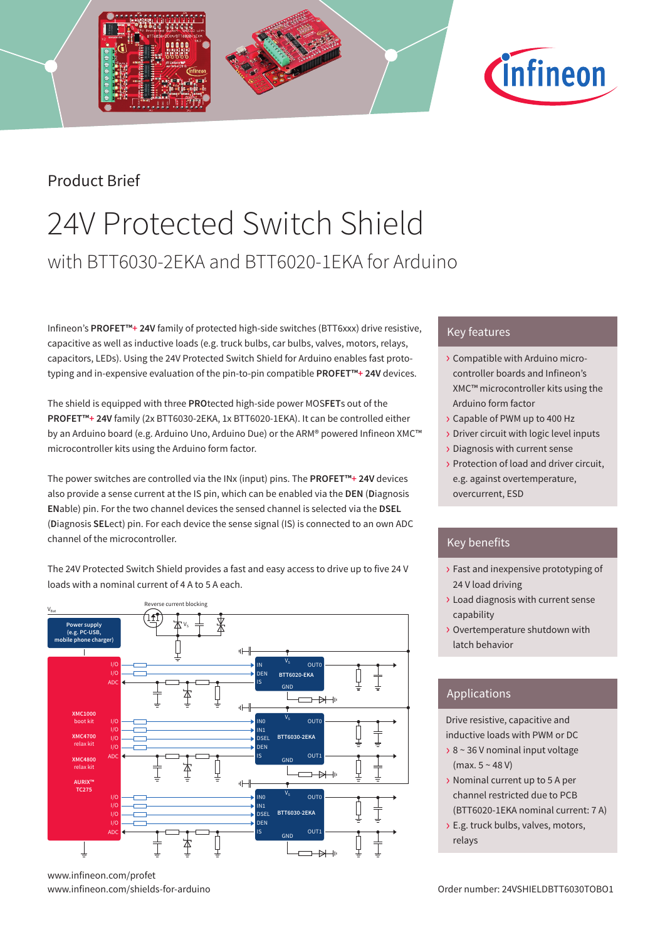## Product Brief

# 24V Protected Switch Shield with BTT6030-2EKA and BTT6020-1EKA for Arduino

Infineon's **PROFET™+ 24V** family of protected high-side switches (BTT6xxx) drive resistive, capacitive as well as inductive loads (e.g. truck bulbs, car bulbs, valves, motors, relays, capacitors, LEDs). Using the 24V Protected Switch Shield for Arduino enables fast prototyping and in-expensive evaluation of the pin-to-pin compatible **PROFET™+ 24V** devices.

The shield is equipped with three **PRO**tected high-side power MOS**FET**s out of the **PROFET™+ 24V** family (2x BTT6030-2EKA, 1x BTT6020-1EKA). It can be controlled either by an Arduino board (e.g. Arduino Uno, Arduino Due) or the ARM® powered Infineon XMC™ microcontroller kits using the Arduino form factor.

The power switches are controlled via the INx (input) pins. The **PROFET™+ 24V** devices also provide a sense current at the IS pin, which can be enabled via the **DEN** (**D**iagnosis **EN**able) pin. For the two channel devices the sensed channel is selected via the **DSEL** (**D**iagnosis **SEL**ect) pin. For each device the sense signal (IS) is connected to an own ADC channel of the microcontroller.

The 24V Protected Switch Shield provides a fast and easy access to drive up to five 24 V loads with a nominal current of 4 A to 5 A each.



www.infineon.com/profet

### Key features

› Compatible with Arduino microcontroller boards and Infineon's XMC™ microcontroller kits using the Arduino form factor

*C*infineon

- › Capable of PWM up to 400 Hz
- › Driver circuit with logic level inputs
- › Diagnosis with current sense
- › Protection of load and driver circuit, e.g. against overtemperature, overcurrent, ESD

### Key benefits

- › Fast and inexpensive prototyping of 24 V load driving
- › Load diagnosis with current sense capability
- › Overtemperature shutdown with latch behavior

### Applications

Drive resistive, capacitive and inductive loads with PWM or DC

- › 8 ~ 36 V nominal input voltage  $(max. 5 ~ 48 V)$
- › Nominal current up to 5 A per channel restricted due to PCB (BTT6020-1EKA nominal current: 7 A)
- › E.g. truck bulbs, valves, motors, relays